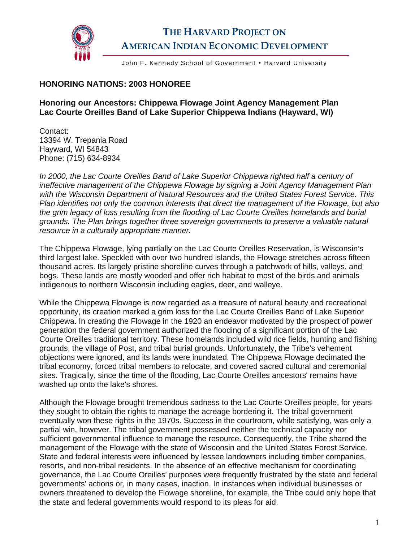

## **THE HARVARD PROJECT ON AMERICAN INDIAN ECONOMIC DEVELOPMENT**

John F. Kennedy School of Government . Harvard University

## **HONORING NATIONS: 2003 HONOREE**

## **Honoring our Ancestors: Chippewa Flowage Joint Agency Management Plan Lac Courte Oreilles Band of Lake Superior Chippewa Indians (Hayward, WI)**

Contact: 13394 W. Trepania Road Hayward, WI 54843 Phone: (715) 634-8934

In 2000, the Lac Courte Oreilles Band of Lake Superior Chippewa righted half a century of *ineffective management of the Chippewa Flowage by signing a Joint Agency Management Plan with the Wisconsin Department of Natural Resources and the United States Forest Service. This Plan identifies not only the common interests that direct the management of the Flowage, but also the grim legacy of loss resulting from the flooding of Lac Courte Oreilles homelands and burial grounds. The Plan brings together three sovereign governments to preserve a valuable natural resource in a culturally appropriate manner.* 

The Chippewa Flowage, lying partially on the Lac Courte Oreilles Reservation, is Wisconsin's third largest lake. Speckled with over two hundred islands, the Flowage stretches across fifteen thousand acres. Its largely pristine shoreline curves through a patchwork of hills, valleys, and bogs. These lands are mostly wooded and offer rich habitat to most of the birds and animals indigenous to northern Wisconsin including eagles, deer, and walleye.

While the Chippewa Flowage is now regarded as a treasure of natural beauty and recreational opportunity, its creation marked a grim loss for the Lac Courte Oreilles Band of Lake Superior Chippewa. In creating the Flowage in the 1920 an endeavor motivated by the prospect of power generation the federal government authorized the flooding of a significant portion of the Lac Courte Oreilles traditional territory. These homelands included wild rice fields, hunting and fishing grounds, the village of Post, and tribal burial grounds. Unfortunately, the Tribe's vehement objections were ignored, and its lands were inundated. The Chippewa Flowage decimated the tribal economy, forced tribal members to relocate, and covered sacred cultural and ceremonial sites. Tragically, since the time of the flooding, Lac Courte Oreilles ancestors' remains have washed up onto the lake's shores.

Although the Flowage brought tremendous sadness to the Lac Courte Oreilles people, for years they sought to obtain the rights to manage the acreage bordering it. The tribal government eventually won these rights in the 1970s. Success in the courtroom, while satisfying, was only a partial win, however. The tribal government possessed neither the technical capacity nor sufficient governmental influence to manage the resource. Consequently, the Tribe shared the management of the Flowage with the state of Wisconsin and the United States Forest Service. State and federal interests were influenced by lessee landowners including timber companies, resorts, and non-tribal residents. In the absence of an effective mechanism for coordinating governance, the Lac Courte Oreilles' purposes were frequently frustrated by the state and federal governments' actions or, in many cases, inaction. In instances when individual businesses or owners threatened to develop the Flowage shoreline, for example, the Tribe could only hope that the state and federal governments would respond to its pleas for aid.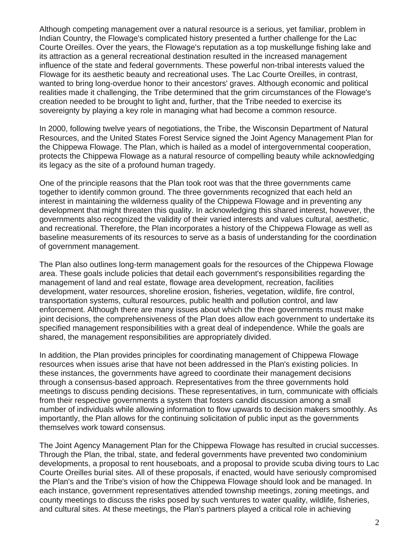Although competing management over a natural resource is a serious, yet familiar, problem in Indian Country, the Flowage's complicated history presented a further challenge for the Lac Courte Oreilles. Over the years, the Flowage's reputation as a top muskellunge fishing lake and its attraction as a general recreational destination resulted in the increased management influence of the state and federal governments. These powerful non-tribal interests valued the Flowage for its aesthetic beauty and recreational uses. The Lac Courte Oreilles, in contrast, wanted to bring long-overdue honor to their ancestors' graves. Although economic and political realities made it challenging, the Tribe determined that the grim circumstances of the Flowage's creation needed to be brought to light and, further, that the Tribe needed to exercise its sovereignty by playing a key role in managing what had become a common resource.

In 2000, following twelve years of negotiations, the Tribe, the Wisconsin Department of Natural Resources, and the United States Forest Service signed the Joint Agency Management Plan for the Chippewa Flowage. The Plan, which is hailed as a model of intergovernmental cooperation, protects the Chippewa Flowage as a natural resource of compelling beauty while acknowledging its legacy as the site of a profound human tragedy.

One of the principle reasons that the Plan took root was that the three governments came together to identify common ground. The three governments recognized that each held an interest in maintaining the wilderness quality of the Chippewa Flowage and in preventing any development that might threaten this quality. In acknowledging this shared interest, however, the governments also recognized the validity of their varied interests and values cultural, aesthetic, and recreational. Therefore, the Plan incorporates a history of the Chippewa Flowage as well as baseline measurements of its resources to serve as a basis of understanding for the coordination of government management.

The Plan also outlines long-term management goals for the resources of the Chippewa Flowage area. These goals include policies that detail each government's responsibilities regarding the management of land and real estate, flowage area development, recreation, facilities development, water resources, shoreline erosion, fisheries, vegetation, wildlife, fire control, transportation systems, cultural resources, public health and pollution control, and law enforcement. Although there are many issues about which the three governments must make joint decisions, the comprehensiveness of the Plan does allow each government to undertake its specified management responsibilities with a great deal of independence. While the goals are shared, the management responsibilities are appropriately divided.

In addition, the Plan provides principles for coordinating management of Chippewa Flowage resources when issues arise that have not been addressed in the Plan's existing policies. In these instances, the governments have agreed to coordinate their management decisions through a consensus-based approach. Representatives from the three governments hold meetings to discuss pending decisions. These representatives, in turn, communicate with officials from their respective governments a system that fosters candid discussion among a small number of individuals while allowing information to flow upwards to decision makers smoothly. As importantly, the Plan allows for the continuing solicitation of public input as the governments themselves work toward consensus.

The Joint Agency Management Plan for the Chippewa Flowage has resulted in crucial successes. Through the Plan, the tribal, state, and federal governments have prevented two condominium developments, a proposal to rent houseboats, and a proposal to provide scuba diving tours to Lac Courte Oreilles burial sites. All of these proposals, if enacted, would have seriously compromised the Plan's and the Tribe's vision of how the Chippewa Flowage should look and be managed. In each instance, government representatives attended township meetings, zoning meetings, and county meetings to discuss the risks posed by such ventures to water quality, wildlife, fisheries, and cultural sites. At these meetings, the Plan's partners played a critical role in achieving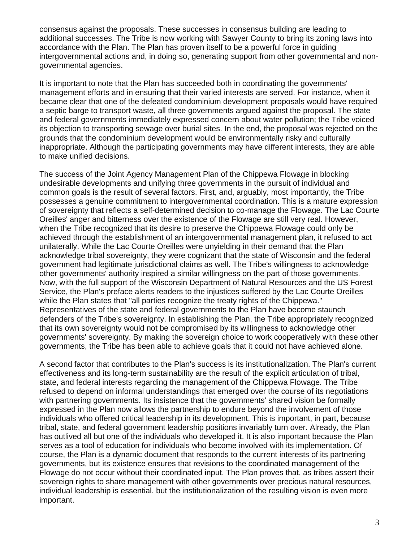consensus against the proposals. These successes in consensus building are leading to additional successes. The Tribe is now working with Sawyer County to bring its zoning laws into accordance with the Plan. The Plan has proven itself to be a powerful force in guiding intergovernmental actions and, in doing so, generating support from other governmental and nongovernmental agencies.

It is important to note that the Plan has succeeded both in coordinating the governments' management efforts and in ensuring that their varied interests are served. For instance, when it became clear that one of the defeated condominium development proposals would have required a septic barge to transport waste, all three governments argued against the proposal. The state and federal governments immediately expressed concern about water pollution; the Tribe voiced its objection to transporting sewage over burial sites. In the end, the proposal was rejected on the grounds that the condominium development would be environmentally risky and culturally inappropriate. Although the participating governments may have different interests, they are able to make unified decisions.

The success of the Joint Agency Management Plan of the Chippewa Flowage in blocking undesirable developments and unifying three governments in the pursuit of individual and common goals is the result of several factors. First, and, arguably, most importantly, the Tribe possesses a genuine commitment to intergovernmental coordination. This is a mature expression of sovereignty that reflects a self-determined decision to co-manage the Flowage. The Lac Courte Oreilles' anger and bitterness over the existence of the Flowage are still very real. However, when the Tribe recognized that its desire to preserve the Chippewa Flowage could only be achieved through the establishment of an intergovernmental management plan, it refused to act unilaterally. While the Lac Courte Oreilles were unyielding in their demand that the Plan acknowledge tribal sovereignty, they were cognizant that the state of Wisconsin and the federal government had legitimate jurisdictional claims as well. The Tribe's willingness to acknowledge other governments' authority inspired a similar willingness on the part of those governments. Now, with the full support of the Wisconsin Department of Natural Resources and the US Forest Service, the Plan's preface alerts readers to the injustices suffered by the Lac Courte Oreilles while the Plan states that "all parties recognize the treaty rights of the Chippewa." Representatives of the state and federal governments to the Plan have become staunch defenders of the Tribe's sovereignty. In establishing the Plan, the Tribe appropriately recognized that its own sovereignty would not be compromised by its willingness to acknowledge other governments' sovereignty. By making the sovereign choice to work cooperatively with these other governments, the Tribe has been able to achieve goals that it could not have achieved alone.

A second factor that contributes to the Plan's success is its institutionalization. The Plan's current effectiveness and its long-term sustainability are the result of the explicit articulation of tribal, state, and federal interests regarding the management of the Chippewa Flowage. The Tribe refused to depend on informal understandings that emerged over the course of its negotiations with partnering governments. Its insistence that the governments' shared vision be formally expressed in the Plan now allows the partnership to endure beyond the involvement of those individuals who offered critical leadership in its development. This is important, in part, because tribal, state, and federal government leadership positions invariably turn over. Already, the Plan has outlived all but one of the individuals who developed it. It is also important because the Plan serves as a tool of education for individuals who become involved with its implementation. Of course, the Plan is a dynamic document that responds to the current interests of its partnering governments, but its existence ensures that revisions to the coordinated management of the Flowage do not occur without their coordinated input. The Plan proves that, as tribes assert their sovereign rights to share management with other governments over precious natural resources, individual leadership is essential, but the institutionalization of the resulting vision is even more important.